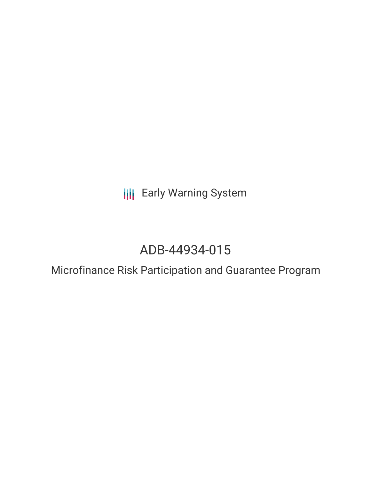**III** Early Warning System

# ADB-44934-015

Microfinance Risk Participation and Guarantee Program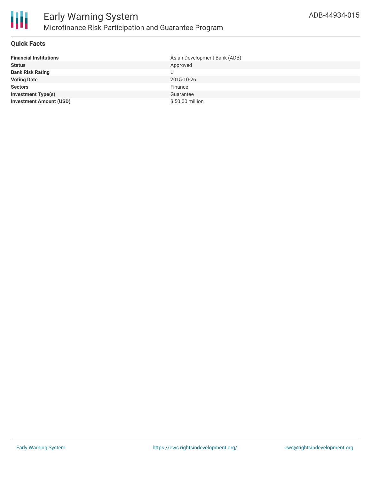

### **Quick Facts**

| <b>Financial Institutions</b>  | Asian Development Bank (ADB) |
|--------------------------------|------------------------------|
| <b>Status</b>                  | Approved                     |
| <b>Bank Risk Rating</b>        | U                            |
| <b>Voting Date</b>             | 2015-10-26                   |
| <b>Sectors</b>                 | Finance                      |
| <b>Investment Type(s)</b>      | Guarantee                    |
| <b>Investment Amount (USD)</b> | \$50.00 million              |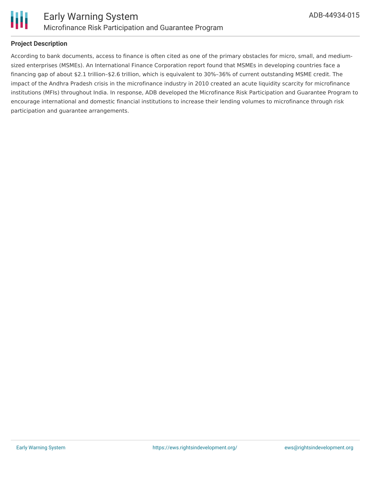

## **Project Description**

According to bank documents, access to finance is often cited as one of the primary obstacles for micro, small, and mediumsized enterprises (MSMEs). An International Finance Corporation report found that MSMEs in developing countries face a financing gap of about \$2.1 trillion–\$2.6 trillion, which is equivalent to 30%–36% of current outstanding MSME credit. The impact of the Andhra Pradesh crisis in the microfinance industry in 2010 created an acute liquidity scarcity for microfinance institutions (MFIs) throughout India. In response, ADB developed the Microfinance Risk Participation and Guarantee Program to encourage international and domestic financial institutions to increase their lending volumes to microfinance through risk participation and guarantee arrangements.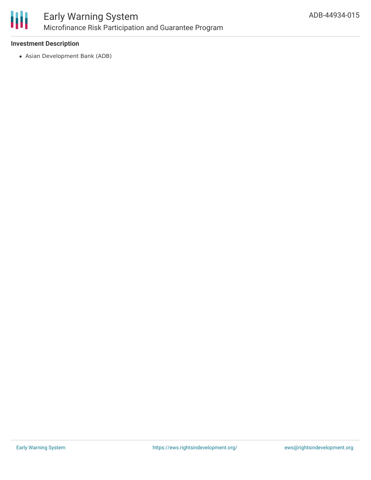

### **Investment Description**

Asian Development Bank (ADB)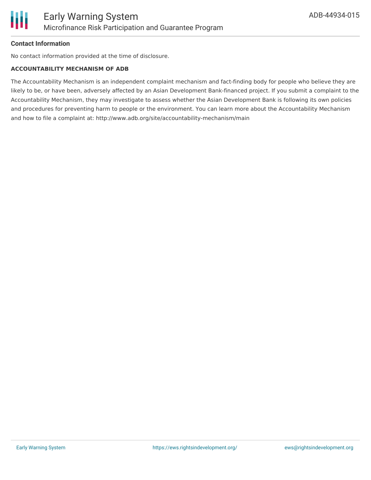

#### **Contact Information**

No contact information provided at the time of disclosure.

#### **ACCOUNTABILITY MECHANISM OF ADB**

The Accountability Mechanism is an independent complaint mechanism and fact-finding body for people who believe they are likely to be, or have been, adversely affected by an Asian Development Bank-financed project. If you submit a complaint to the Accountability Mechanism, they may investigate to assess whether the Asian Development Bank is following its own policies and procedures for preventing harm to people or the environment. You can learn more about the Accountability Mechanism and how to file a complaint at: http://www.adb.org/site/accountability-mechanism/main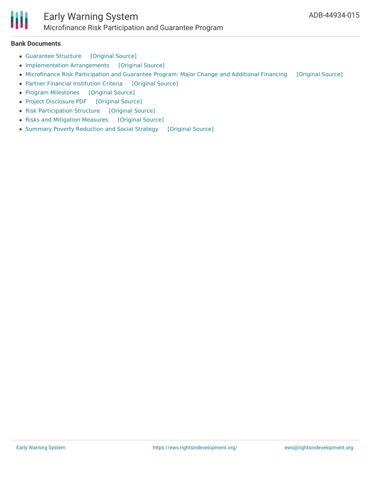

#### **Bank Documents**

- [Guarantee](https://ewsdata.rightsindevelopment.org/files/documents/15/ADB-44934-015_dZytJXh.pdf) Structure [\[Original](https://www.adb.org/projects/documents/microfinance-risk-participation-and-guarantee-program-af-mcs) Source]
- [Implementation](https://ewsdata.rightsindevelopment.org/files/documents/15/ADB-44934-015_G5V074E.pdf) Arrangements [\[Original](https://www.adb.org/projects/documents/microfinance-risk-participation-and-guarantee-program-af-mcs) Source]
- [Microfinance](https://ewsdata.rightsindevelopment.org/files/documents/15/ADB-44934-015_eZkKrNg.pdf) Risk Participation and Guarantee Program: Major Change and Additional Financing [\[Original](https://www.adb.org/projects/documents/microfinance-risk-participation-and-guarantee-program-af-mcs) Source]
- Partner Financial [Institution](https://ewsdata.rightsindevelopment.org/files/documents/15/ADB-44934-015_unsCTQk.pdf) Criteria [\[Original](https://www.adb.org/projects/documents/microfinance-risk-participation-and-guarantee-program-af-mcs) Source]
- Program [Milestones](https://ewsdata.rightsindevelopment.org/files/documents/15/ADB-44934-015_poTEVXu.pdf) [\[Original](https://www.adb.org/projects/documents/microfinance-risk-participation-and-guarantee-program-af-mcs) Source]
- Project [Disclosure](https://ewsdata.rightsindevelopment.org/files/documents/15/ADB-44934-015.pdf) PDF [\[Original](https://www.adb.org/printpdf/projects/44934-015/main) Source]
- Risk [Participation](https://ewsdata.rightsindevelopment.org/files/documents/15/ADB-44934-015_AfrVhez.pdf) Structure [\[Original](https://www.adb.org/projects/documents/microfinance-risk-participation-and-guarantee-program-af-mcs) Source]
- Risks and [Mitigation](https://ewsdata.rightsindevelopment.org/files/documents/15/ADB-44934-015_bavKGJ2.pdf) Measures [\[Original](https://www.adb.org/projects/documents/microfinance-risk-participation-and-guarantee-program-af-mcs) Source]
- Summary Poverty [Reduction](https://ewsdata.rightsindevelopment.org/files/documents/15/ADB-44934-015_VaSaaWq.pdf) and Social Strategy [\[Original](https://www.adb.org/projects/documents/microfinance-risk-participation-and-guarantee-program-af-mcs) Source]